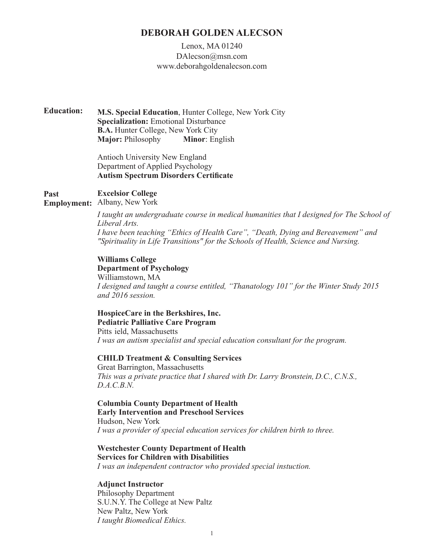# **DEBORAH GOLDEN ALECSON**

# Lenox, MA 01240 DAlecson@msn.com www.deborahgoldenalecson.com

**M.S. Special Education**, Hunter College, New York City **Specialization:** Emotional Disturbance **B.A.** Hunter College, New York City **Major:** Philosophy **Minor**: English **Education:**

> Antioch University New England Department of Applied Psychology **Autism Spectrum Disorders Certificate**

#### **Excelsior College Past**

**Employment:** Albany, New York

*I taught an undergraduate course in medical humanities that I designed for The School of Liberal Arts. I have been teaching "Ethics of Health Care", "Death, Dying and Bereavement" and "Spirituality in Life Transitions" for the Schools of Health, Science and Nursing.*

**Williams College Department of Psychology** Williamstown, MA *I designed and taught a course entitled, "Thanatology 101" for the Winter Study 2015 and 2016 session.*

### **HospiceCare in the Berkshires, Inc. Pediatric Palliative Care Program**

Pitts ield, Massachusetts *I was an autism specialist and special education consultant for the program.*

## **CHILD Treatment & Consulting Services**

Great Barrington, Massachusetts *This was a private practice that I shared with Dr. Larry Bronstein, D.C., C.N.S., D.A.C.B.N.*

## **Columbia County Department of Health Early Intervention and Preschool Services** Hudson, New York

*I was a provider of special education services for children birth to three.*

# **Westchester County Department of Health Services for Children with Disabilities**

*I was an independent contractor who provided special instuction.*

## **Adjunct Instructor**

Philosophy Department S.U.N.Y. The College at New Paltz New Paltz, New York *I taught Biomedical Ethics.*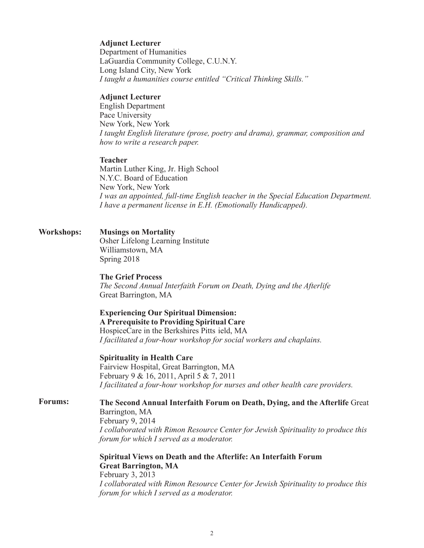## **Adjunct Lecturer**

Department of Humanities LaGuardia Community College, C.U.N.Y. Long Island City, New York *I taught a humanities course entitled "Critical Thinking Skills."*

### **Adjunct Lecturer**

English Department Pace University New York, New York *I taught English literature (prose, poetry and drama), grammar, composition and how to write a research paper.*

## **Teacher**

Martin Luther King, Jr. High School N.Y.C. Board of Education New York, New York *I was an appointed, full-time English teacher in the Special Education Department. I have a permanent license in E.H. (Emotionally Handicapped).*

### **Musings on Mortality** Osher Lifelong Learning Institute Williamstown, MA Spring 2018 **Workshops:**

### **The Grief Process**

*The Second Annual Interfaith Forum on Death, Dying and the Afterlife* Great Barrington, MA

# **Experiencing Our Spiritual Dimension: A Prerequisite to Providing Spiritual Care**

HospiceCare in the Berkshires Pitts ield, MA *I facilitated a four-hour workshop for social workers and chaplains.*

**Spirituality in Health Care**

Fairview Hospital, Great Barrington, MA February 9 & 16, 2011, April 5 & 7, 2011 *I facilitated a four-hour workshop for nurses and other health care providers.* 

#### **The Second Annual Interfaith Forum on Death, Dying, and the Afterlife** Great **Forums:**

Barrington, MA February 9, 2014 *I collaborated with Rimon Resource Center for Jewish Spirituality to produce this forum for which I served as a moderator.*

**Spiritual Views on Death and the Afterlife: An Interfaith Forum Great Barrington, MA** February 3, 2013 *I collaborated with Rimon Resource Center for Jewish Spirituality to produce this forum for which I served as a moderator.*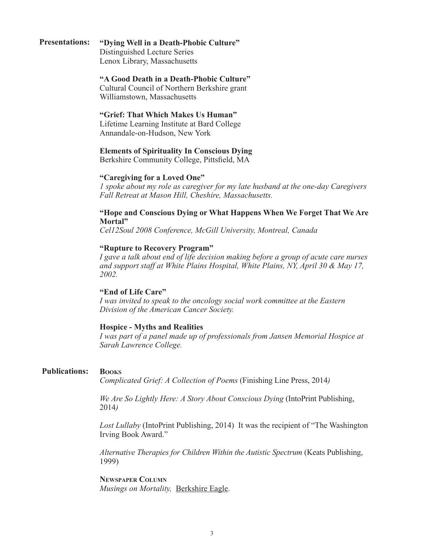#### **"Dying Well in a Death-Phobic Culture" Presentations:**

Distinguished Lecture Series Lenox Library, Massachusetts

## **"A Good Death in a Death-Phobic Culture"**

Cultural Council of Northern Berkshire grant Williamstown, Massachusetts

## **"Grief: That Which Makes Us Human"**

Lifetime Learning Institute at Bard College Annandale-on-Hudson, New York

# **Elements of Spirituality In Conscious Dying**

Berkshire Community College, Pittsfield, MA

## **"Caregiving for a Loved One"**

*1 spoke about my role as caregiver for my late husband at the one-day Caregivers Fall Retreat at Mason Hill, Cheshire, Massachusetts.*

# **"Hope and Conscious Dying or What Happens When We Forget That We Are Mortal"**

*Cel12Soul 2008 Conference, McGill University, Montreal, Canada*

# **"Rupture to Recovery Program"**

*I gave a talk about end of life decision making before a group of acute care nurses and support staff at White Plains Hospital, White Plains, NY, April 30 & May 17, 2002.*

## **"End of Life Care"**

*I was invited to speak to the oncology social work committee at the Eastern Division of the American Cancer Society.*

# **Hospice - Myths and Realities**

*I was part of a panel made up of professionals from Jansen Memorial Hospice at Sarah Lawrence College.*

#### **Books Publications:**

*Complicated Grief: A Collection of Poems* (Finishing Line Press, 2014*)*

*We Are So Lightly Here: A Story About Conscious Dying* (IntoPrint Publishing, 2014*)*

*Lost Lullaby* (IntoPrint Publishing, 2014) It was the recipient of "The Washington Irving Book Award."

*Alternative Therapies for Children Within the Autistic Spectrum* (Keats Publishing, 1999)

**Newspaper Column** *Musings on Mortality,* Berkshire Eagle.